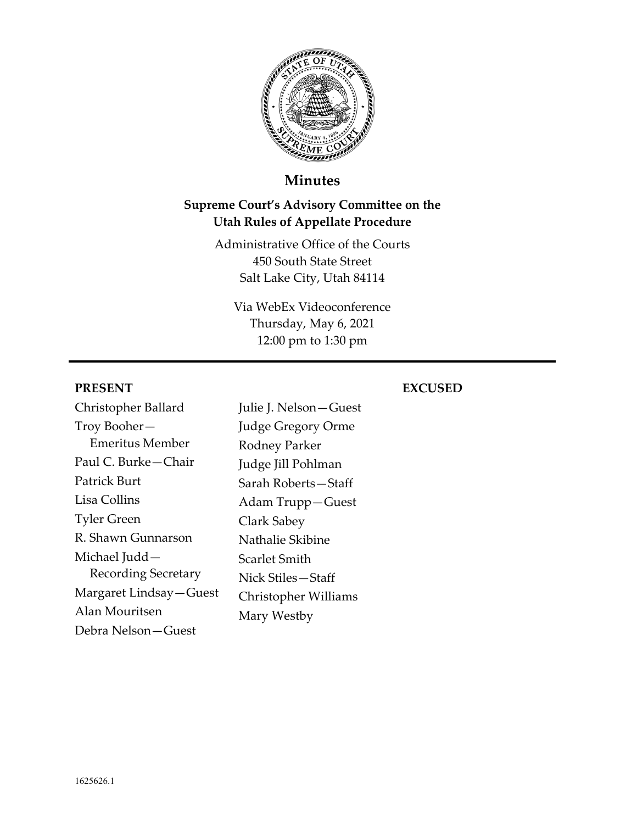

# **Minutes**

# **Supreme Court's Advisory Committee on the Utah Rules of Appellate Procedure**

Administrative Office of the Courts 450 South State Street Salt Lake City, Utah 84114

Via WebEx Videoconference Thursday, May 6, 2021 12:00 pm to 1:30 pm

#### **PRESENT**

# Christopher Ballard Troy Booher— Emeritus Member Paul C. Burke—Chair Patrick Burt Lisa Collins Tyler Green R. Shawn Gunnarson Michael Judd— Recording Secretary Margaret Lindsay—Guest Alan Mouritsen Debra Nelson—Guest

# **EXCUSED**

Julie J. Nelson—Guest Judge Gregory Orme Rodney Parker Judge Jill Pohlman Sarah Roberts—Staff Adam Trupp—Guest Clark Sabey Nathalie Skibine Scarlet Smith Nick Stiles—Staff Christopher Williams Mary Westby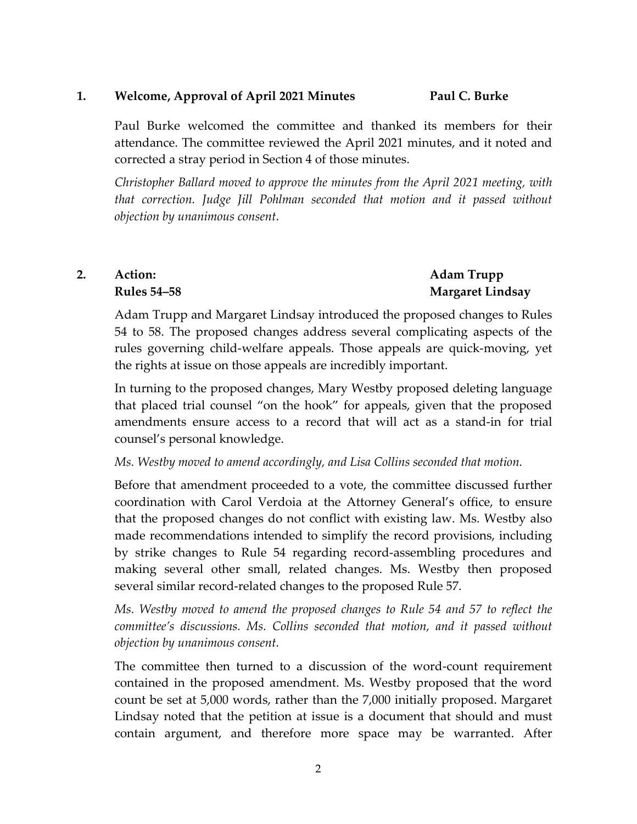#### **1. Welcome, Approval of April 2021 Minutes Paul C. Burke**

Paul Burke welcomed the committee and thanked its members for their attendance. The committee reviewed the April 2021 minutes, and it noted and corrected a stray period in Section 4 of those minutes.

*Christopher Ballard moved to approve the minutes from the April 2021 meeting, with that correction. Judge Jill Pohlman seconded that motion and it passed without objection by unanimous consent.*

## **2. Action: Rules 54–58**

#### **Adam Trupp Margaret Lindsay**

Adam Trupp and Margaret Lindsay introduced the proposed changes to Rules 54 to 58. The proposed changes address several complicating aspects of the rules governing child‐welfare appeals. Those appeals are quick‐moving, yet the rights at issue on those appeals are incredibly important.

In turning to the proposed changes, Mary Westby proposed deleting language that placed trial counsel "on the hook" for appeals, given that the proposed amendments ensure access to a record that will act as a stand‐in for trial counsel's personal knowledge.

#### *Ms. Westby moved to amend accordingly, and Lisa Collins seconded that motion.*

Before that amendment proceeded to a vote, the committee discussed further coordination with Carol Verdoia at the Attorney General's office, to ensure that the proposed changes do not conflict with existing law. Ms. Westby also made recommendations intended to simplify the record provisions, including by strike changes to Rule 54 regarding record‐assembling procedures and making several other small, related changes. Ms. Westby then proposed several similar record-related changes to the proposed Rule 57.

*Ms. Westby moved to amend the proposed changes to Rule 54 and 57 to reflect the committee's discussions. Ms. Collins seconded that motion, and it passed without objection by unanimous consent.*

The committee then turned to a discussion of the word‐count requirement contained in the proposed amendment. Ms. Westby proposed that the word count be set at 5,000 words, rather than the 7,000 initially proposed. Margaret Lindsay noted that the petition at issue is a document that should and must contain argument, and therefore more space may be warranted. After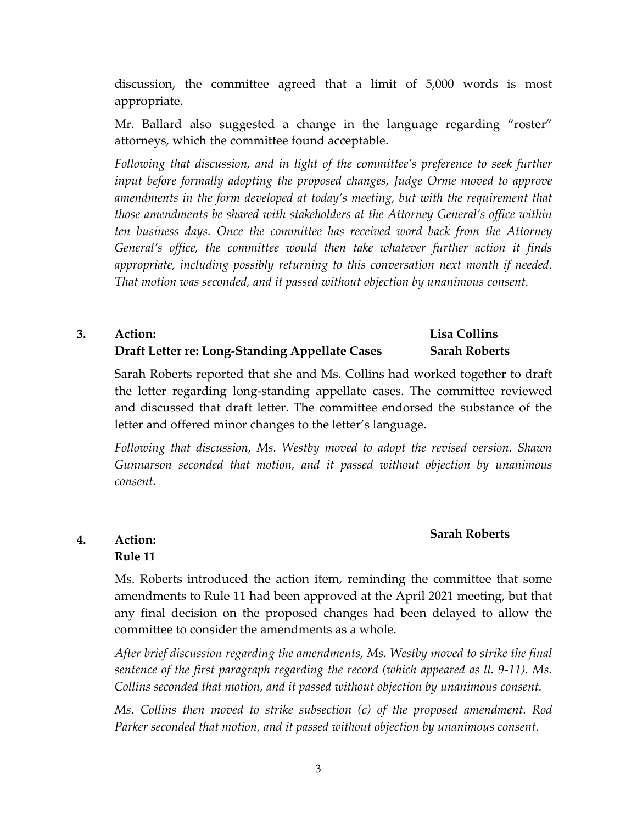discussion, the committee agreed that a limit of 5,000 words is most appropriate.

Mr. Ballard also suggested a change in the language regarding "roster" attorneys, which the committee found acceptable.

*Following that discussion, and in light of the committee's preference to seek further input before formally adopting the proposed changes, Judge Orme moved to approve amendments in the form developed at today's meeting, but with the requirement that those amendments be shared with stakeholders at the Attorney General's office within ten business days. Once the committee has received word back from the Attorney General's office, the committee would then take whatever further action it finds appropriate, including possibly returning to this conversation next month if needed. That motion was seconded, and it passed without objection by unanimous consent.*

#### **3. Action: Draft Letter re: Long‐Standing Appellate Cases Lisa Collins Sarah Roberts**

Sarah Roberts reported that she and Ms. Collins had worked together to draft the letter regarding long‐standing appellate cases. The committee reviewed and discussed that draft letter. The committee endorsed the substance of the letter and offered minor changes to the letter's language.

*Following that discussion, Ms. Westby moved to adopt the revised version. Shawn Gunnarson seconded that motion, and it passed without objection by unanimous consent.*

#### **Sarah Roberts**

#### **4. Action: Rule 11**

Ms. Roberts introduced the action item, reminding the committee that some amendments to Rule 11 had been approved at the April 2021 meeting, but that any final decision on the proposed changes had been delayed to allow the committee to consider the amendments as a whole.

*After brief discussion regarding the amendments, Ms. Westby moved to strike the final sentence of the first paragraph regarding the record (which appeared as ll. 9‐11). Ms. Collins seconded that motion, and it passed without objection by unanimous consent.*

*Ms. Collins then moved to strike subsection (c) of the proposed amendment. Rod Parker seconded that motion, and it passed without objection by unanimous consent.*